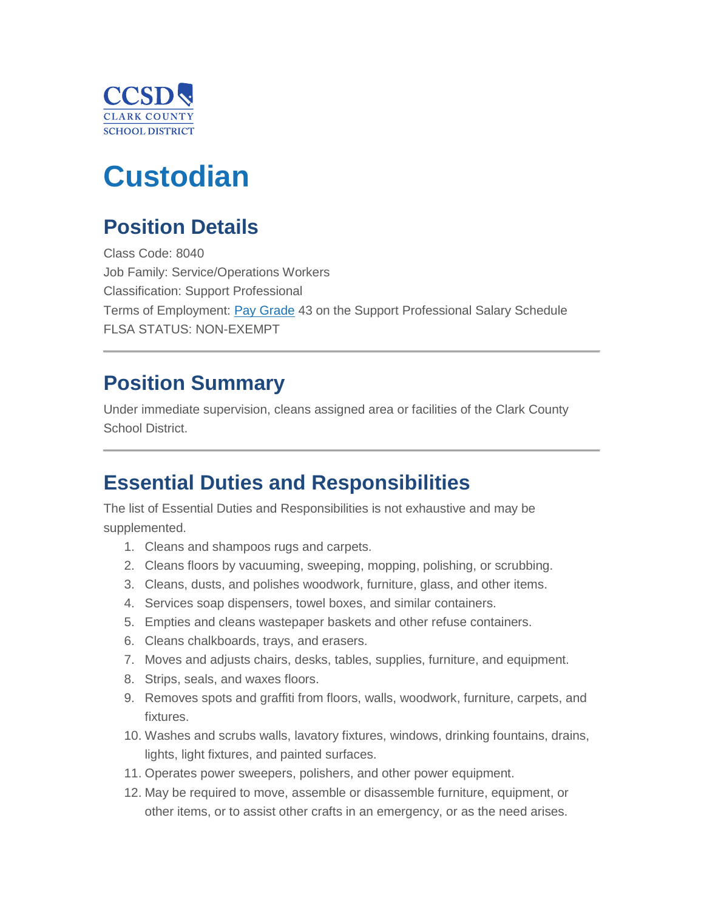

# **Custodian**

# **Position Details**

Class Code: 8040 Job Family: Service/Operations Workers Classification: Support Professional Terms of Employment: [Pay Grade](https://www.ccsd.net/employees/current/employment/salary) 43 on the Support Professional Salary Schedule FLSA STATUS: NON-EXEMPT

### **Position Summary**

Under immediate supervision, cleans assigned area or facilities of the Clark County School District.

### **Essential Duties and Responsibilities**

The list of Essential Duties and Responsibilities is not exhaustive and may be supplemented.

- 1. Cleans and shampoos rugs and carpets.
- 2. Cleans floors by vacuuming, sweeping, mopping, polishing, or scrubbing.
- 3. Cleans, dusts, and polishes woodwork, furniture, glass, and other items.
- 4. Services soap dispensers, towel boxes, and similar containers.
- 5. Empties and cleans wastepaper baskets and other refuse containers.
- 6. Cleans chalkboards, trays, and erasers.
- 7. Moves and adjusts chairs, desks, tables, supplies, furniture, and equipment.
- 8. Strips, seals, and waxes floors.
- 9. Removes spots and graffiti from floors, walls, woodwork, furniture, carpets, and fixtures.
- 10. Washes and scrubs walls, lavatory fixtures, windows, drinking fountains, drains, lights, light fixtures, and painted surfaces.
- 11. Operates power sweepers, polishers, and other power equipment.
- 12. May be required to move, assemble or disassemble furniture, equipment, or other items, or to assist other crafts in an emergency, or as the need arises.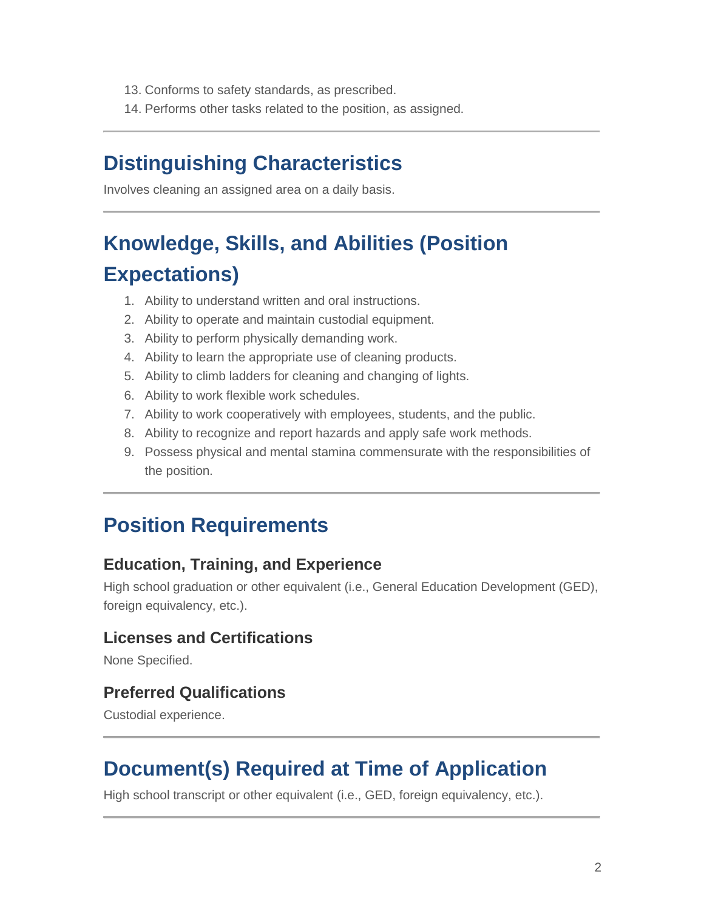- 13. Conforms to safety standards, as prescribed.
- 14. Performs other tasks related to the position, as assigned.

### **Distinguishing Characteristics**

Involves cleaning an assigned area on a daily basis.

# **Knowledge, Skills, and Abilities (Position Expectations)**

- 1. Ability to understand written and oral instructions.
- 2. Ability to operate and maintain custodial equipment.
- 3. Ability to perform physically demanding work.
- 4. Ability to learn the appropriate use of cleaning products.
- 5. Ability to climb ladders for cleaning and changing of lights.
- 6. Ability to work flexible work schedules.
- 7. Ability to work cooperatively with employees, students, and the public.
- 8. Ability to recognize and report hazards and apply safe work methods.
- 9. Possess physical and mental stamina commensurate with the responsibilities of the position.

### **Position Requirements**

#### **Education, Training, and Experience**

High school graduation or other equivalent (i.e., General Education Development (GED), foreign equivalency, etc.).

#### **Licenses and Certifications**

None Specified.

#### **Preferred Qualifications**

Custodial experience.

### **Document(s) Required at Time of Application**

High school transcript or other equivalent (i.e., GED, foreign equivalency, etc.).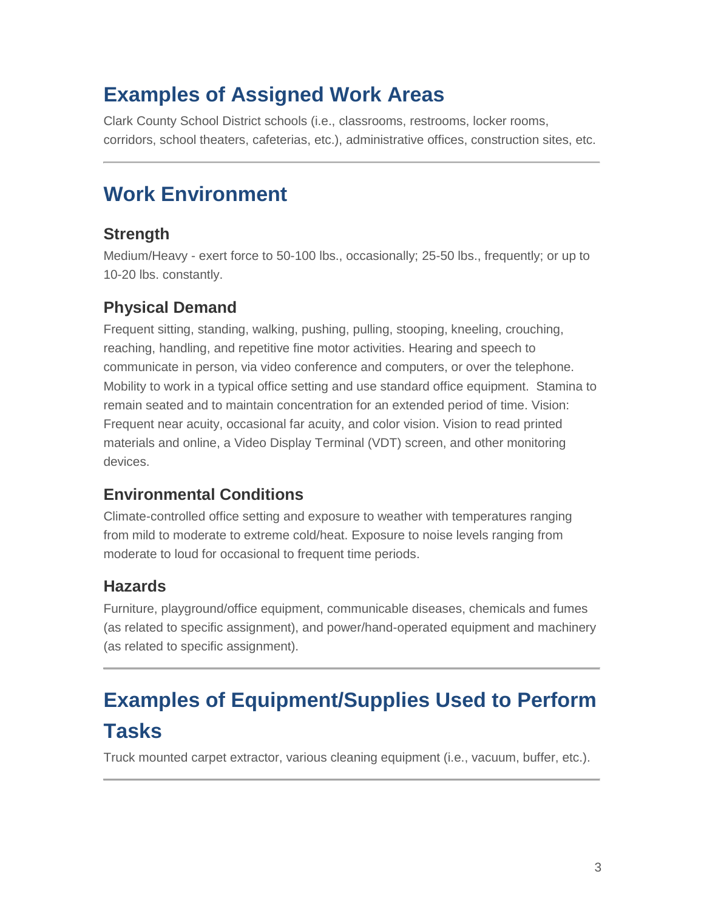### **Examples of Assigned Work Areas**

Clark County School District schools (i.e., classrooms, restrooms, locker rooms, corridors, school theaters, cafeterias, etc.), administrative offices, construction sites, etc.

## **Work Environment**

### **Strength**

Medium/Heavy - exert force to 50-100 lbs., occasionally; 25-50 lbs., frequently; or up to 10-20 lbs. constantly.

### **Physical Demand**

Frequent sitting, standing, walking, pushing, pulling, stooping, kneeling, crouching, reaching, handling, and repetitive fine motor activities. Hearing and speech to communicate in person, via video conference and computers, or over the telephone. Mobility to work in a typical office setting and use standard office equipment. Stamina to remain seated and to maintain concentration for an extended period of time. Vision: Frequent near acuity, occasional far acuity, and color vision. Vision to read printed materials and online, a Video Display Terminal (VDT) screen, and other monitoring devices.

### **Environmental Conditions**

Climate-controlled office setting and exposure to weather with temperatures ranging from mild to moderate to extreme cold/heat. Exposure to noise levels ranging from moderate to loud for occasional to frequent time periods.

### **Hazards**

Furniture, playground/office equipment, communicable diseases, chemicals and fumes (as related to specific assignment), and power/hand-operated equipment and machinery (as related to specific assignment).

# **Examples of Equipment/Supplies Used to Perform Tasks**

Truck mounted carpet extractor, various cleaning equipment (i.e., vacuum, buffer, etc.).